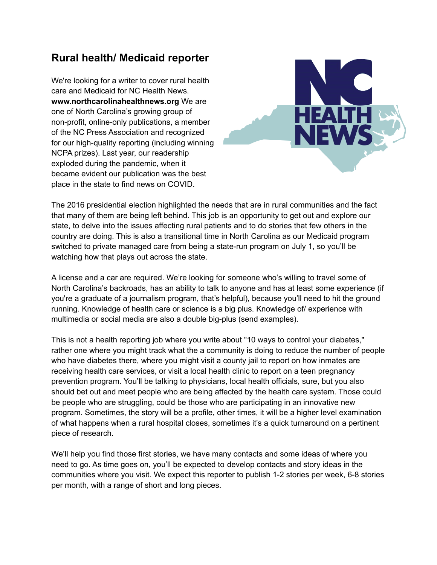## **Rural health/ Medicaid reporter**

We're looking for a writer to cover rural health care and Medicaid for NC Health News. **www.northcarolinahealthnews.org** We are one of North Carolina's growing group of non-profit, online-only publications, a member of the NC Press Association and recognized for our high-quality reporting (including winning NCPA prizes). Last year, our readership exploded during the pandemic, when it became evident our publication was the best place in the state to find news on COVID.



The 2016 presidential election highlighted the needs that are in rural communities and the fact that many of them are being left behind. This job is an opportunity to get out and explore our state, to delve into the issues affecting rural patients and to do stories that few others in the country are doing. This is also a transitional time in North Carolina as our Medicaid program switched to private managed care from being a state-run program on July 1, so you'll be watching how that plays out across the state.

A license and a car are required. We're looking for someone who's willing to travel some of North Carolina's backroads, has an ability to talk to anyone and has at least some experience (if you're a graduate of a journalism program, that's helpful), because you'll need to hit the ground running. Knowledge of health care or science is a big plus. Knowledge of/ experience with multimedia or social media are also a double big-plus (send examples).

This is not a health reporting job where you write about "10 ways to control your diabetes," rather one where you might track what the a community is doing to reduce the number of people who have diabetes there, where you might visit a county jail to report on how inmates are receiving health care services, or visit a local health clinic to report on a teen pregnancy prevention program. You'll be talking to physicians, local health officials, sure, but you also should bet out and meet people who are being affected by the health care system. Those could be people who are struggling, could be those who are participating in an innovative new program. Sometimes, the story will be a profile, other times, it will be a higher level examination of what happens when a rural hospital closes, sometimes it's a quick turnaround on a pertinent piece of research.

We'll help you find those first stories, we have many contacts and some ideas of where you need to go. As time goes on, you'll be expected to develop contacts and story ideas in the communities where you visit. We expect this reporter to publish 1-2 stories per week, 6-8 stories per month, with a range of short and long pieces.